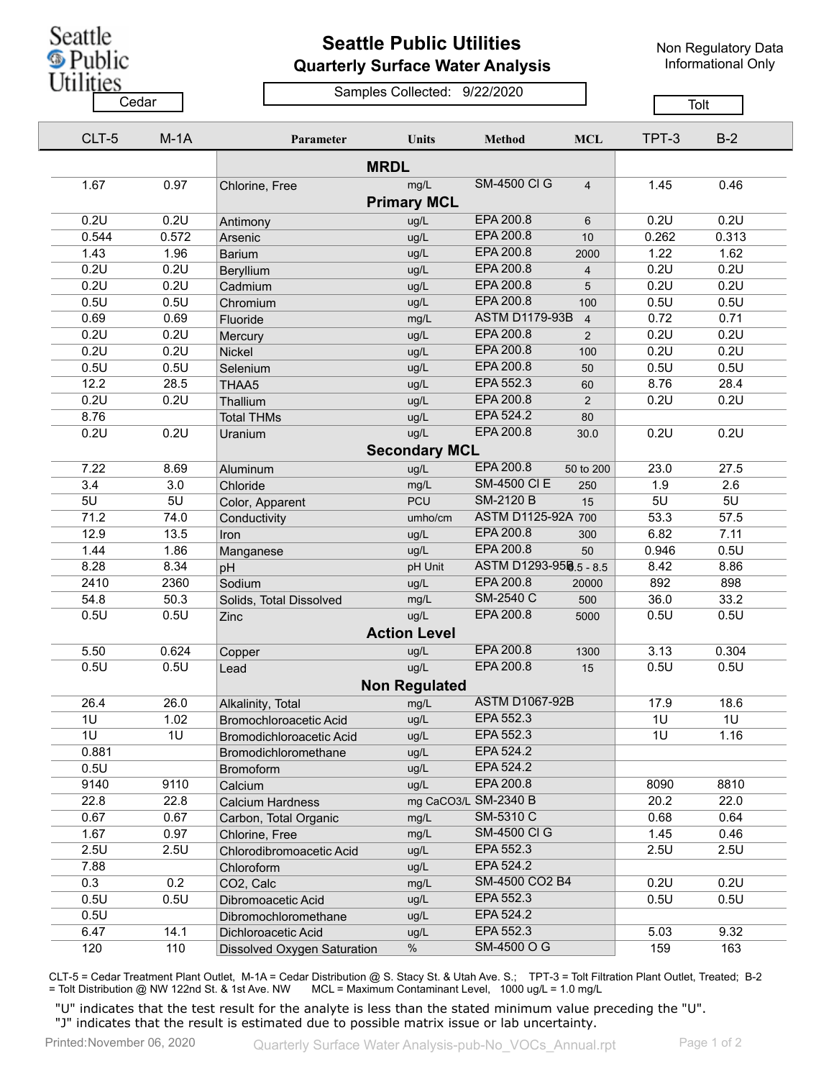Seattle **S** Public

## **Seattle Public Utilities Quarterly Surface Water Analysis**

Non Regulatory Data Informational Only

Utilities Samples Collected: 9/22/2020 Cedar **Cedar** Cedar Cedar Cedar Tolt CLT-5 M-1A **Parameter Units Method MCL** TPT-3 B-2 **MRDL** 1.67 0.97 Chlorine, Free mg/L SM-4500 Cl G 4 1.45 0.46 **Primary MCL** 0.2U 0.2U Antimony ug/L EPA 200.8 6 0.2U 0.2U 0.544 0.572 Arsenic ug/L EPA 200.8 10 0.262 0.313 1.43 1.96 Barium ug/L EPA 200.8 2000 1.22 1.62 0.2U 0.2U Beryllium ug/L EPA 200.8 4 0.2U 0.2U 0.2U 0.2U Cadmium ug/L EPA 200.8 5 0.2U 0.2U 0.5U 0.5U Chromium ug/L EPA 200.8 100 0.5U 0.5U 0.69 0.69 Fluoride mg/L ASTM D1179-93B 4 0.72 0.71 0.2U 0.2U Mercury ug/L EPA 200.8 2 0.2U 0.2U 0.2U 0.2U Nickel ug/L EPA 200.8 100 0.2U 0.2U 0.5U 0.5U Selenium ug/L EPA 200.8 50 0.5U 0.5U 12.2 28.5 THAA5 ug/L EPA 552.3 60 8.76 28.4 0.2U 0.2U Thallium ug/L EPA 200.8 2 0.2U 0.2U 8.76 **Total THMs** ug/L EPA 524.2 80 0.2U 0.2U Uranium ug/L EPA 200.8 30.0 0.2U 0.2U **Secondary MCL** 7.22 8.69 Aluminum ug/L EPA 200.8 50 to 200 23.0 27.5 3.4 3.0 Chloride mg/L SM-4500 Cl E 250 1.9 2.6 5U 5U Color, Apparent PCU SM-2120 B 15 5U 5U 71.2 74.0 Conductivity umho/cm ASTM D1125-92A 700 53.3 57.5 12.9 13.5 Iron ug/L EPA 200.8 300 6.82 7.11 1.44 1.86 Manganese ug/L EPA 200.8 50 0.946 0.5U 8.28 8.34 pH **pH** pH Unit ASTM D1293-95B 5 - 8.5 8.42 8.86 2410 2360 Sodium ug/L EPA 200.8 20000 892 898 54.8 50.3 Solids, Total Dissolved mg/L SM-2540 C 500 36.0 33.2 0.5U 0.5U Zinc ug/L EPA 200.8 5000 0.5U 0.5U **Action Level** 5.50 0.624 Copper ug/L EPA 200.8 1300 3.13 0.304 0.5U 0.5U Lead ug/L EPA 200.8 15 0.5U 0.5U **Non Regulated**

|       |      | Non Regulated               |               |                       |      |      |
|-------|------|-----------------------------|---------------|-----------------------|------|------|
| 26.4  | 26.0 | Alkalinity, Total           | mg/L          | <b>ASTM D1067-92B</b> | 17.9 | 18.6 |
| 1U    | 1.02 | Bromochloroacetic Acid      | ug/L          | EPA 552.3             | 1U   | 1U   |
| 1U    | 1U   | Bromodichloroacetic Acid    | ug/L          | EPA 552.3             | 1U   | 1.16 |
| 0.881 |      | Bromodichloromethane        | ug/L          | EPA 524.2             |      |      |
| 0.5U  |      | <b>Bromoform</b>            | ug/L          | EPA 524.2             |      |      |
| 9140  | 9110 | Calcium                     | ug/L          | EPA 200.8             | 8090 | 8810 |
| 22.8  | 22.8 | Calcium Hardness            | mg CaCO3/L    | SM-2340 B             | 20.2 | 22.0 |
| 0.67  | 0.67 | Carbon, Total Organic       | mg/L          | SM-5310 C             | 0.68 | 0.64 |
| 1.67  | 0.97 | Chlorine, Free              | mg/L          | <b>SM-4500 CI G</b>   | 1.45 | 0.46 |
| 2.5U  | 2.5U | Chlorodibromoacetic Acid    | ug/L          | EPA 552.3             | 2.5U | 2.5U |
| 7.88  |      | Chloroform                  | ug/L          | EPA 524.2             |      |      |
| 0.3   | 0.2  | CO <sub>2</sub> , Calc      | mg/L          | SM-4500 CO2 B4        | 0.2U | 0.2U |
| 0.5U  | 0.5U | Dibromoacetic Acid          | ug/L          | EPA 552.3             | 0.5U | 0.5U |
| 0.5U  |      | Dibromochloromethane        | ug/L          | EPA 524.2             |      |      |
| 6.47  | 14.1 | Dichloroacetic Acid         | ug/L          | EPA 552.3             | 5.03 | 9.32 |
| 120   | 110  | Dissolved Oxygen Saturation | $\frac{0}{0}$ | SM-4500 O G           | 159  | 163  |

CLT-5 = Cedar Treatment Plant Outlet, M-1A = Cedar Distribution @ S. Stacy St. & Utah Ave. S.; TPT-3 = Tolt Filtration Plant Outlet, Treated; B-2 = Tolt Distribution @ NW 122nd St. & 1st Ave. NW MCL = Maximum Contaminant Level, 1000 ug/L = 1.0 mg/L

"U" indicates that the test result for the analyte is less than the stated minimum value preceding the "U". "J" indicates that the result is estimated due to possible matrix issue or lab uncertainty.